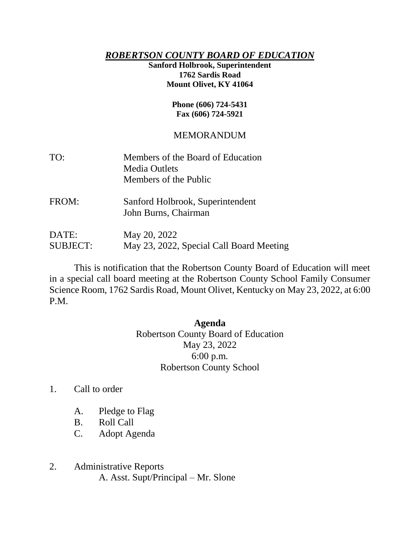## *ROBERTSON COUNTY BOARD OF EDUCATION*

## **Sanford Holbrook, Superintendent 1762 Sardis Road Mount Olivet, KY 41064**

#### **Phone (606) 724-5431 Fax (606) 724-5921**

# MEMORANDUM

| TO:   | Members of the Board of Education |
|-------|-----------------------------------|
|       | <b>Media Outlets</b>              |
|       | Members of the Public             |
| FROM: | Sanford Holbrook, Superintendent  |
|       | John Burns, Chairman              |

DATE: May 20, 2022 SUBJECT: May 23, 2022, Special Call Board Meeting

This is notification that the Robertson County Board of Education will meet in a special call board meeting at the Robertson County School Family Consumer Science Room, 1762 Sardis Road, Mount Olivet, Kentucky on May 23, 2022, at 6:00 P.M.

## **Agenda**

Robertson County Board of Education May 23, 2022 6:00 p.m. Robertson County School

- 1. Call to order
	- A. Pledge to Flag
	- B. Roll Call
	- C. Adopt Agenda
- 2. Administrative Reports A. Asst. Supt/Principal – Mr. Slone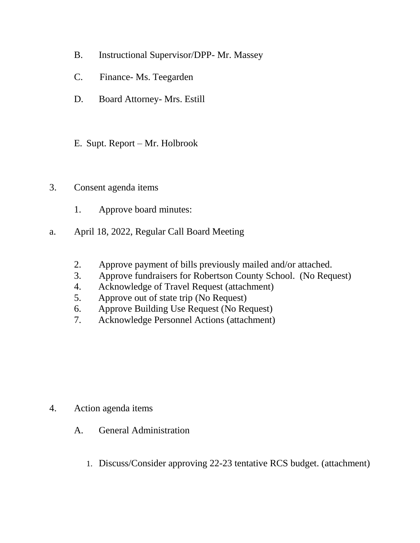- B. Instructional Supervisor/DPP- Mr. Massey
- C. Finance- Ms. Teegarden
- D. Board Attorney- Mrs. Estill
- E. Supt. Report Mr. Holbrook
- 3. Consent agenda items
	- 1. Approve board minutes:
- a. April 18, 2022, Regular Call Board Meeting
	- 2. Approve payment of bills previously mailed and/or attached.
	- 3. Approve fundraisers for Robertson County School. (No Request)
	- 4. Acknowledge of Travel Request (attachment)
	- 5. Approve out of state trip (No Request)
	- 6. Approve Building Use Request (No Request)
	- 7. Acknowledge Personnel Actions (attachment)

- 4. Action agenda items
	- A. General Administration
		- 1. Discuss/Consider approving 22-23 tentative RCS budget. (attachment)